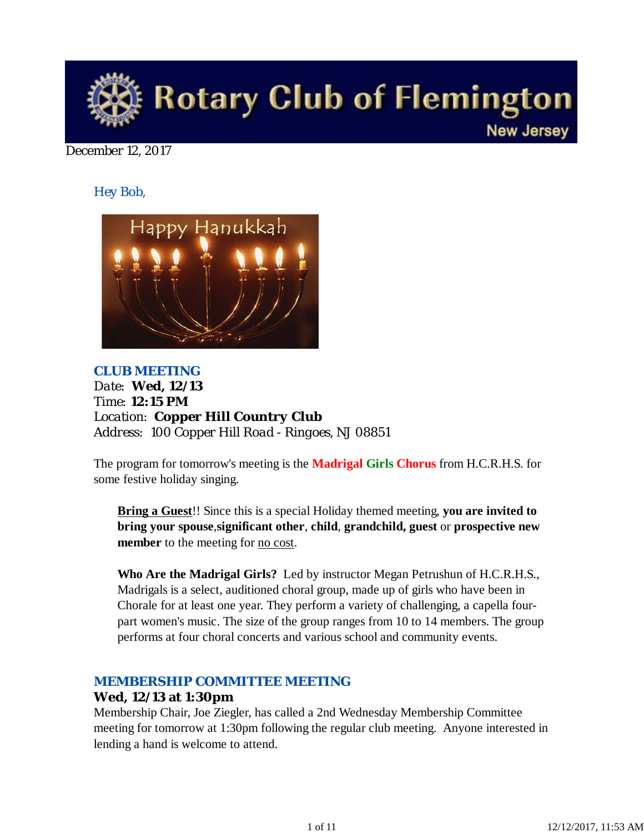

December 12, 2017

*Hey Bob,* 



*CLUB MEETING Date: Wed, 12/13 Time: 12:15 PM Location: Copper Hill Country Club Address: 100 Copper Hill Road - Ringoes, NJ 08851*

The program for tomorrow's meeting is the **Madrigal Girls Chorus** from H.C.R.H.S. for some festive holiday singing.

**Bring a Guest**!! Since this is a special Holiday themed meeting, **you are invited to bring your spouse**,**significant other**, **child**, **grandchild, guest** or **prospective new member** to the meeting for <u>no cost</u>.

**Who Are the Madrigal Girls?** Led by instructor Megan Petrushun of H.C.R.H.S., Madrigals is a select, auditioned choral group, made up of girls who have been in Chorale for at least one year. They perform a variety of challenging, a capella fourpart women's music. The size of the group ranges from 10 to 14 members. The group performs at four choral concerts and various school and community events.

# *MEMBERSHIP COMMITTEE MEETING*

# **Wed, 12/13 at 1:30pm**

Membership Chair, Joe Ziegler, has called a 2nd Wednesday Membership Committee meeting for tomorrow at 1:30pm following the regular club meeting. Anyone interested in lending a hand is welcome to attend.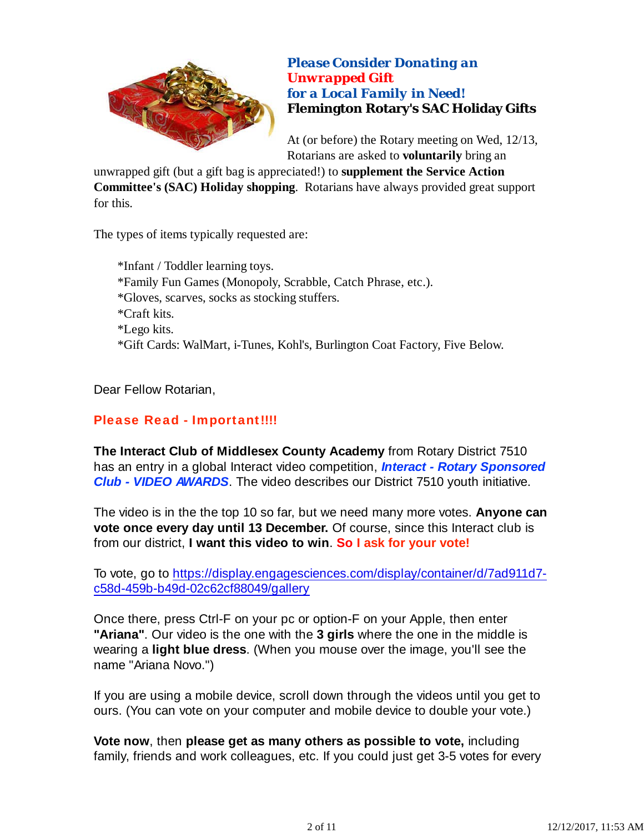

*Please Consider Donating an Unwrapped Gift for a Local Family in Need!* **Flemington Rotary's SAC Holiday Gifts**

At (or before) the Rotary meeting on Wed, 12/13, Rotarians are asked to **voluntarily** bring an

unwrapped gift (but a gift bag is appreciated!) to **supplement the Service Action Committee's (SAC) Holiday shopping**. Rotarians have always provided great support for this.

The types of items typically requested are:

\*Infant / Toddler learning toys. \*Family Fun Games (Monopoly, Scrabble, Catch Phrase, etc.). \*Gloves, scarves, socks as stocking stuffers. \*Craft kits. \*Lego kits. \*Gift Cards: WalMart, i-Tunes, Kohl's, Burlington Coat Factory, Five Below.

Dear Fellow Rotarian,

# Please Read - Important!!!!

**The Interact Club of Middlesex County Academy** from Rotary District 7510 has an entry in a global Interact video competition, *Interact - Rotary Sponsored Club - VIDEO AWARDS*. The video describes our District 7510 youth initiative.

The video is in the the top 10 so far, but we need many more votes. **Anyone can vote once every day until 13 December.** Of course, since this Interact club is from our district, **I want this video to win**. **So I ask for your vote!**

To vote, go to https://display.engagesciences.com/display/container/d/7ad911d7 c58d-459b-b49d-02c62cf88049/gallery

Once there, press Ctrl-F on your pc or option-F on your Apple, then enter **"Ariana"**. Our video is the one with the **3 girls** where the one in the middle is wearing a **light blue dress**. (When you mouse over the image, you'll see the name "Ariana Novo.")

If you are using a mobile device, scroll down through the videos until you get to ours. (You can vote on your computer and mobile device to double your vote.)

**Vote now**, then **please get as many others as possible to vote,** including family, friends and work colleagues, etc. If you could just get 3-5 votes for every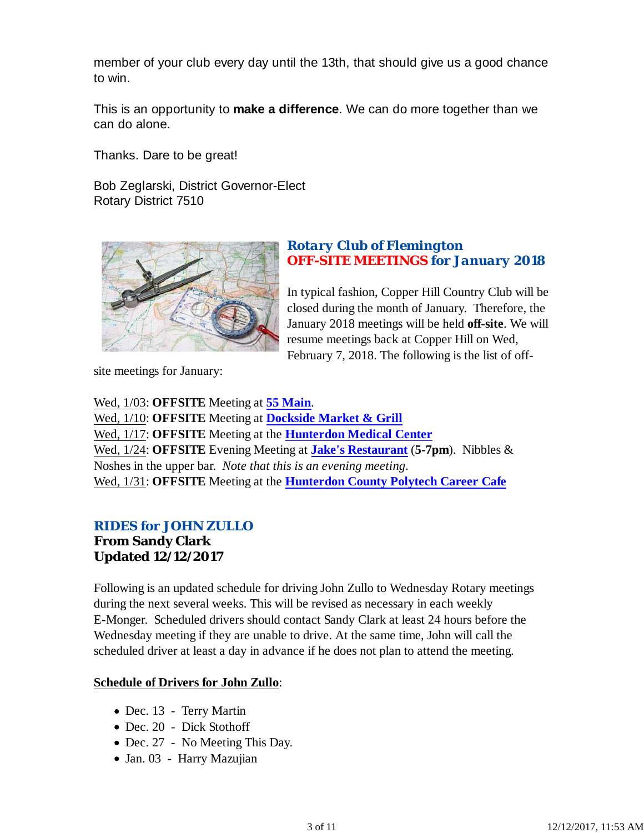member of your club every day until the 13th, that should give us a good chance to win.

This is an opportunity to **make a difference**. We can do more together than we can do alone.

Thanks. Dare to be great!

Bob Zeglarski, District Governor-Elect Rotary District 7510



## *Rotary Club of Flemington OFF-SITE MEETINGS for January 2018*

In typical fashion, Copper Hill Country Club will be closed during the month of January. Therefore, the January 2018 meetings will be held **off-site**. We will resume meetings back at Copper Hill on Wed, February 7, 2018. The following is the list of off-

site meetings for January:

Wed, 1/03: **OFFSITE** Meeting at **55 Main**. Wed, 1/10: **OFFSITE** Meeting at **Dockside Market & Grill** Wed, 1/17: **OFFSITE** Meeting at the **Hunterdon Medical Center** Wed, 1/24: **OFFSITE** Evening Meeting at **Jake's Restaurant** (**5-7pm**). Nibbles & Noshes in the upper bar. *Note that this is an evening meeting*. Wed, 1/31: **OFFSITE** Meeting at the **Hunterdon County Polytech Career Cafe**

# *RIDES for JOHN ZULLO*

**From Sandy Clark Updated 12/12/2017**

Following is an updated schedule for driving John Zullo to Wednesday Rotary meetings during the next several weeks. This will be revised as necessary in each weekly E-Monger. Scheduled drivers should contact Sandy Clark at least 24 hours before the Wednesday meeting if they are unable to drive. At the same time, John will call the scheduled driver at least a day in advance if he does not plan to attend the meeting.

# **Schedule of Drivers for John Zullo**:

- Dec. 13 Terry Martin
- Dec. 20 Dick Stothoff
- Dec. 27 No Meeting This Day.
- Jan. 03 Harry Mazujian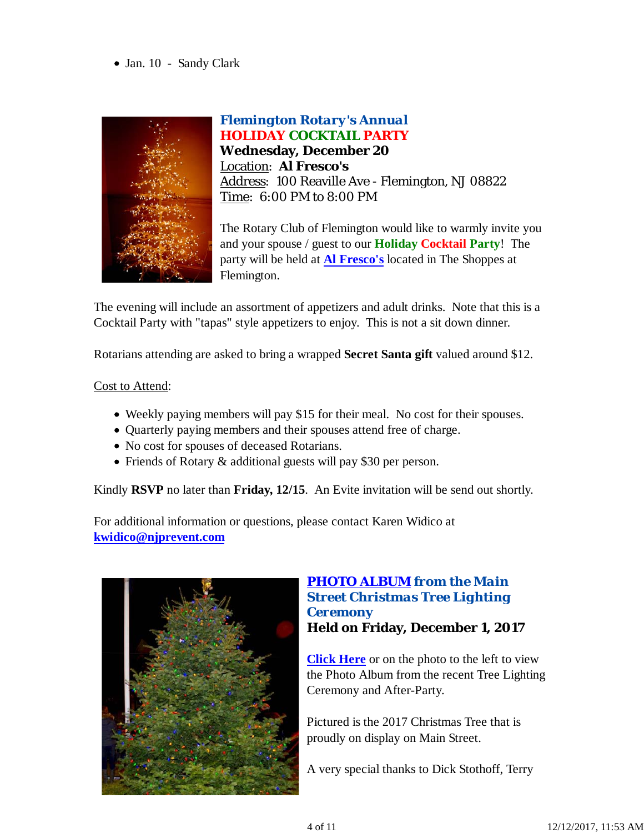Jan. 10 - Sandy Clark



*Flemington Rotary's Annual HOLIDAY COCKTAIL PARTY* **Wednesday, December 20** Location: **Al Fresco's** Address: 100 Reaville Ave - Flemington, NJ 08822 Time: 6:00 PM to 8:00 PM

The Rotary Club of Flemington would like to warmly invite you and your spouse / guest to our **Holiday Cocktail Party**! The party will be held at **Al Fresco's** located in The Shoppes at Flemington.

The evening will include an assortment of appetizers and adult drinks. Note that this is a Cocktail Party with "tapas" style appetizers to enjoy. This is not a sit down dinner.

Rotarians attending are asked to bring a wrapped **Secret Santa gift** valued around \$12.

### Cost to Attend:

- Weekly paying members will pay \$15 for their meal. No cost for their spouses.
- Quarterly paying members and their spouses attend free of charge.
- No cost for spouses of deceased Rotarians.
- Friends of Rotary & additional guests will pay \$30 per person.

Kindly **RSVP** no later than **Friday, 12/15**. An Evite invitation will be send out shortly.

For additional information or questions, please contact Karen Widico at **kwidico@njprevent.com**



## *PHOTO ALBUM from the Main Street Christmas Tree Lighting Ceremony* **Held on Friday, December 1, 2017**

**Click Here** or on the photo to the left to view the Photo Album from the recent Tree Lighting Ceremony and After-Party.

Pictured is the 2017 Christmas Tree that is proudly on display on Main Street.

A very special thanks to Dick Stothoff, Terry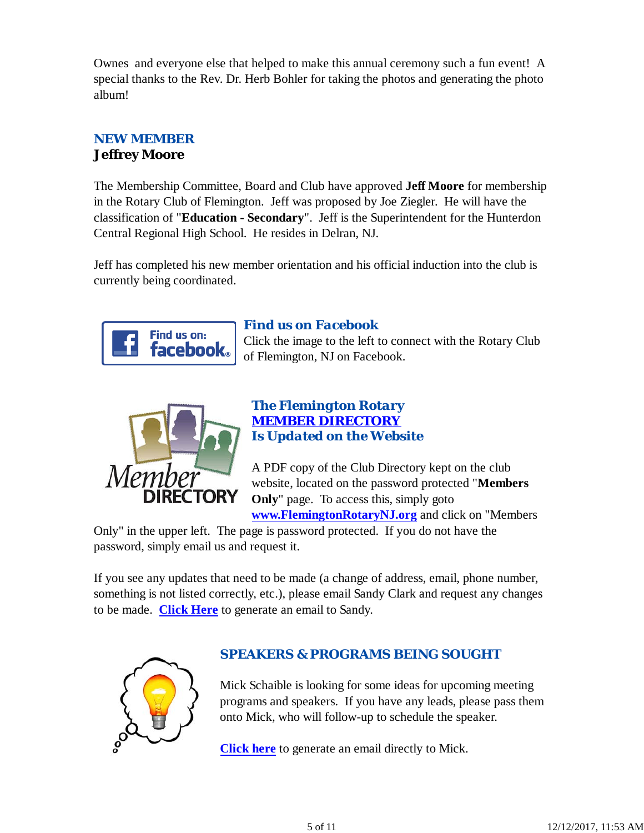Ownes and everyone else that helped to make this annual ceremony such a fun event! A special thanks to the Rev. Dr. Herb Bohler for taking the photos and generating the photo album!

# *NEW MEMBER* **Jeffrey Moore**

The Membership Committee, Board and Club have approved **Jeff Moore** for membership in the Rotary Club of Flemington. Jeff was proposed by Joe Ziegler. He will have the classification of "**Education - Secondary**". Jeff is the Superintendent for the Hunterdon Central Regional High School. He resides in Delran, NJ.

Jeff has completed his new member orientation and his official induction into the club is currently being coordinated.



# *Find us on Facebook*

Click the image to the left to connect with the Rotary Club of Flemington, NJ on Facebook.



# *The Flemington Rotary MEMBER DIRECTORY Is Updated on the Website*

A PDF copy of the Club Directory kept on the club website, located on the password protected "**Members Only**" page. To access this, simply goto **www.FlemingtonRotaryNJ.org** and click on "Members

Only" in the upper left. The page is password protected. If you do not have the password, simply email us and request it.

If you see any updates that need to be made (a change of address, email, phone number, something is not listed correctly, etc.), please email Sandy Clark and request any changes to be made. **Click Here** to generate an email to Sandy.



# *SPEAKERS & PROGRAMS BEING SOUGHT*

Mick Schaible is looking for some ideas for upcoming meeting programs and speakers. If you have any leads, please pass them onto Mick, who will follow-up to schedule the speaker.

**Click here** to generate an email directly to Mick.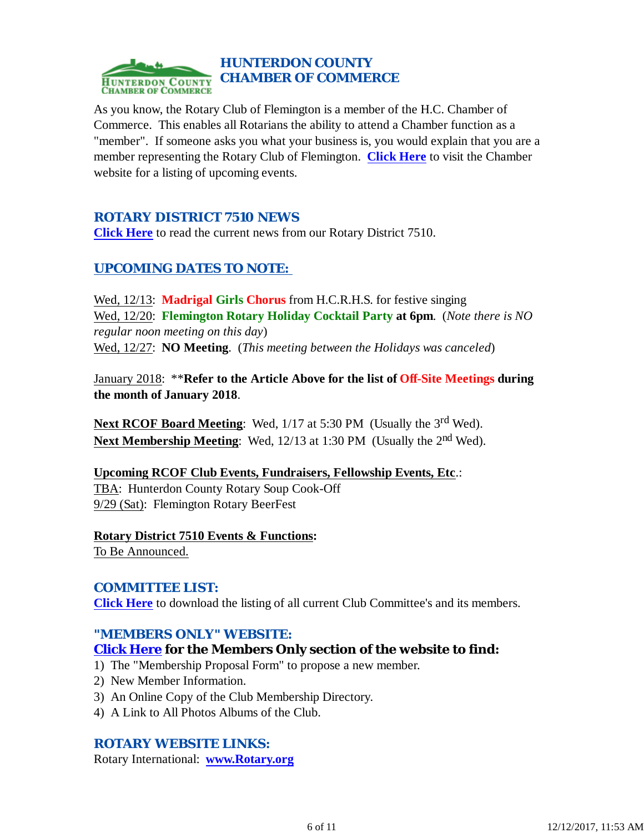

As you know, the Rotary Club of Flemington is a member of the H.C. Chamber of Commerce. This enables all Rotarians the ability to attend a Chamber function as a "member". If someone asks you what your business is, you would explain that you are a member representing the Rotary Club of Flemington. **Click Here** to visit the Chamber website for a listing of upcoming events.

## *ROTARY DISTRICT 7510 NEWS*

**Click Here** to read the current news from our Rotary District 7510.

# *UPCOMING DATES TO NOTE:*

Wed, 12/13: **Madrigal Girls Chorus** from H.C.R.H.S. for festive singing Wed, 12/20: **Flemington Rotary Holiday Cocktail Party at 6pm**. (*Note there is NO regular noon meeting on this day*) Wed, 12/27: **NO Meeting**. (*This meeting between the Holidays was canceled*)

January 2018: \*\***Refer to the Article Above for the list of Off-Site Meetings during the month of January 2018**.

**Next RCOF Board Meeting:** Wed, 1/17 at 5:30 PM (Usually the 3<sup>rd</sup> Wed). **Next Membership Meeting:** Wed, 12/13 at 1:30 PM (Usually the 2<sup>nd</sup> Wed).

#### **Upcoming RCOF Club Events, Fundraisers, Fellowship Events, Etc**.:

TBA: Hunterdon County Rotary Soup Cook-Off 9/29 (Sat): Flemington Rotary BeerFest

# **Rotary District 7510 Events & Functions:**

To Be Announced.

## *COMMITTEE LIST:*

**Click Here** to download the listing of all current Club Committee's and its members.

#### *"MEMBERS ONLY" WEBSITE:*

## **Click Here for the Members Only section of the website to find:**

- 1) The "Membership Proposal Form" to propose a new member.
- 2) New Member Information.
- 3) An Online Copy of the Club Membership Directory.
- 4) A Link to All Photos Albums of the Club.

## *ROTARY WEBSITE LINKS:*

Rotary International: **www.Rotary.org**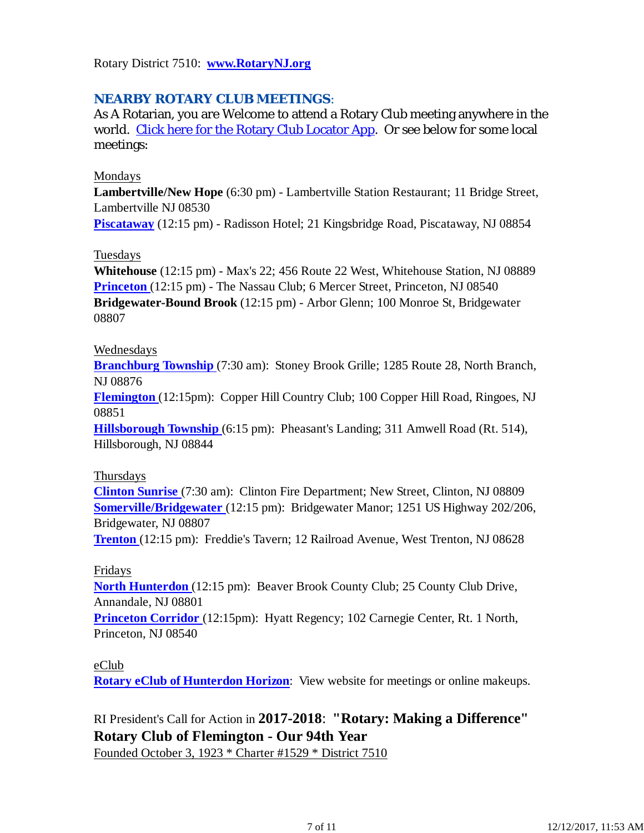Rotary District 7510: **www.RotaryNJ.org**

# *NEARBY ROTARY CLUB MEETINGS:*

As A Rotarian, you are Welcome to attend a Rotary Club meeting anywhere in the world. Click here for the Rotary Club Locator App. Or see below for some local meetings:

#### Mondays

**Lambertville/New Hope** (6:30 pm) - Lambertville Station Restaurant; 11 Bridge Street, Lambertville NJ 08530

**Piscataway** (12:15 pm) - Radisson Hotel; 21 Kingsbridge Road, Piscataway, NJ 08854

#### Tuesdays

**Whitehouse** (12:15 pm) - Max's 22; 456 Route 22 West, Whitehouse Station, NJ 08889 **Princeton** (12:15 pm) - The Nassau Club; 6 Mercer Street, Princeton, NJ 08540 **Bridgewater-Bound Brook** (12:15 pm) - Arbor Glenn; 100 Monroe St, Bridgewater 08807

#### Wednesdays

**Branchburg Township** (7:30 am): Stoney Brook Grille; 1285 Route 28, North Branch, NJ 08876

**Flemington** (12:15pm): Copper Hill Country Club; 100 Copper Hill Road, Ringoes, NJ 08851

**Hillsborough Township** (6:15 pm): Pheasant's Landing; 311 Amwell Road (Rt. 514), Hillsborough, NJ 08844

#### Thursdays

**Clinton Sunrise** (7:30 am): Clinton Fire Department; New Street, Clinton, NJ 08809 **Somerville/Bridgewater** (12:15 pm): Bridgewater Manor; 1251 US Highway 202/206, Bridgewater, NJ 08807

**Trenton** (12:15 pm): Freddie's Tavern; 12 Railroad Avenue, West Trenton, NJ 08628

#### Fridays

**North Hunterdon** (12:15 pm): Beaver Brook County Club; 25 County Club Drive, Annandale, NJ 08801

**Princeton Corridor** (12:15pm): Hyatt Regency; 102 Carnegie Center, Rt. 1 North, Princeton, NJ 08540

#### eClub

**Rotary eClub of Hunterdon Horizon**: View website for meetings or online makeups.

RI President's Call for Action in **2017-2018**: **"Rotary: Making a Difference" Rotary Club of Flemington - Our 94th Year**

Founded October 3, 1923 \* Charter #1529 \* District 7510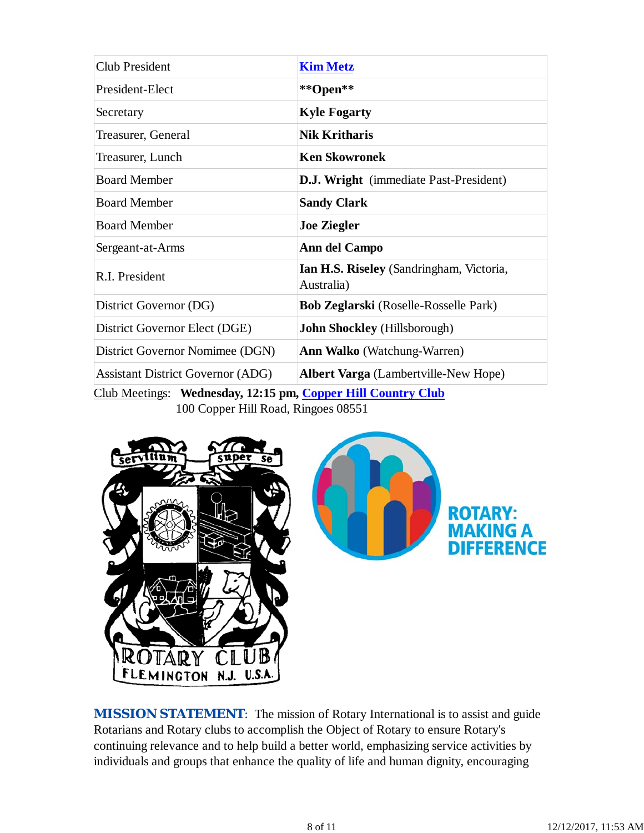| <b>Club President</b>                    | <b>Kim Metz</b>                                        |
|------------------------------------------|--------------------------------------------------------|
| President-Elect                          | **Open**                                               |
| Secretary                                | <b>Kyle Fogarty</b>                                    |
| Treasurer, General                       | <b>Nik Kritharis</b>                                   |
| Treasurer, Lunch                         | <b>Ken Skowronek</b>                                   |
| <b>Board Member</b>                      | <b>D.J. Wright</b> (immediate Past-President)          |
| <b>Board Member</b>                      | <b>Sandy Clark</b>                                     |
| <b>Board Member</b>                      | <b>Joe Ziegler</b>                                     |
| Sergeant-at-Arms                         | Ann del Campo                                          |
| R.I. President                           | Ian H.S. Riseley (Sandringham, Victoria,<br>Australia) |
| District Governor (DG)                   | <b>Bob Zeglarski</b> (Roselle-Rosselle Park)           |
| District Governor Elect (DGE)            | <b>John Shockley</b> (Hillsborough)                    |
| District Governor Nomimee (DGN)          | <b>Ann Walko</b> (Watchung-Warren)                     |
| <b>Assistant District Governor (ADG)</b> | <b>Albert Varga</b> (Lambertville-New Hope)            |

Club Meetings: **Wednesday, 12:15 pm, Copper Hill Country Club** 100 Copper Hill Road, Ringoes 08551



**MISSION STATEMENT:** The mission of Rotary International is to assist and guide Rotarians and Rotary clubs to accomplish the Object of Rotary to ensure Rotary's continuing relevance and to help build a better world, emphasizing service activities by individuals and groups that enhance the quality of life and human dignity, encouraging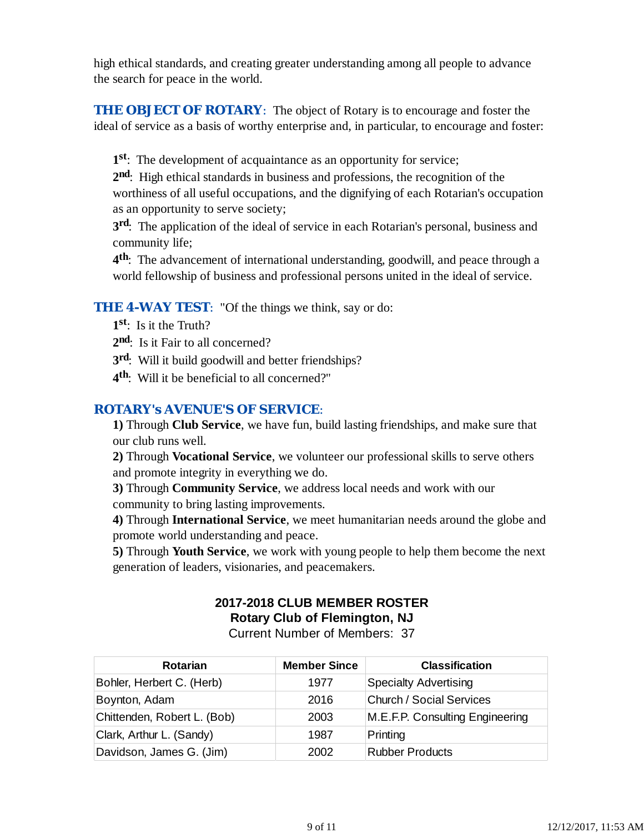high ethical standards, and creating greater understanding among all people to advance the search for peace in the world.

**THE OBJECT OF ROTARY:** The object of Rotary is to encourage and foster the ideal of service as a basis of worthy enterprise and, in particular, to encourage and foster:

**1st**: The development of acquaintance as an opportunity for service;

**2nd**: High ethical standards in business and professions, the recognition of the worthiness of all useful occupations, and the dignifying of each Rotarian's occupation as an opportunity to serve society;

**3rd**: The application of the ideal of service in each Rotarian's personal, business and community life;

**4th**: The advancement of international understanding, goodwill, and peace through a world fellowship of business and professional persons united in the ideal of service.

## **THE 4-WAY TEST:** "Of the things we think, say or do:

- **1st**: Is it the Truth?
- 2<sup>nd</sup>: Is it Fair to all concerned?
- **3rd**: Will it build goodwill and better friendships?
- **4th**: Will it be beneficial to all concerned?"

# *ROTARY's AVENUE'S OF SERVICE*:

**1)** Through **Club Service**, we have fun, build lasting friendships, and make sure that our club runs well.

**2)** Through **Vocational Service**, we volunteer our professional skills to serve others and promote integrity in everything we do.

**3)** Through **Community Service**, we address local needs and work with our community to bring lasting improvements.

**4)** Through **International Service**, we meet humanitarian needs around the globe and promote world understanding and peace.

**5)** Through **Youth Service**, we work with young people to help them become the next generation of leaders, visionaries, and peacemakers.

# **2017-2018 CLUB MEMBER ROSTER Rotary Club of Flemington, NJ**

Current Number of Members: 37

| <b>Rotarian</b>             | <b>Member Since</b> | <b>Classification</b>           |
|-----------------------------|---------------------|---------------------------------|
| Bohler, Herbert C. (Herb)   | 1977                | <b>Specialty Advertising</b>    |
| Boynton, Adam               | 2016                | <b>Church / Social Services</b> |
| Chittenden, Robert L. (Bob) | 2003                | M.E.F.P. Consulting Engineering |
| Clark, Arthur L. (Sandy)    | 1987                | Printing                        |
| Davidson, James G. (Jim)    | 2002                | <b>Rubber Products</b>          |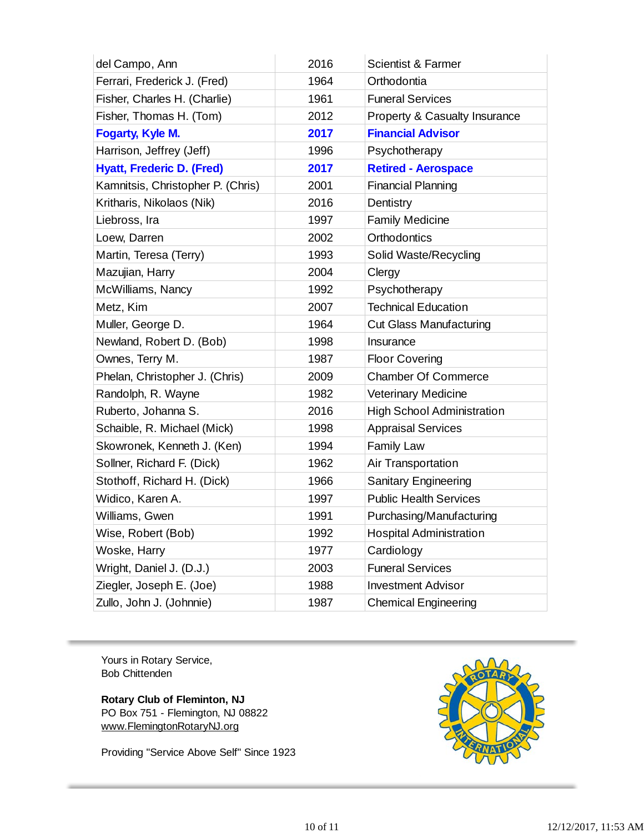| del Campo, Ann                    | 2016 | <b>Scientist &amp; Farmer</b>     |
|-----------------------------------|------|-----------------------------------|
| Ferrari, Frederick J. (Fred)      | 1964 | Orthodontia                       |
| Fisher, Charles H. (Charlie)      | 1961 | <b>Funeral Services</b>           |
| Fisher, Thomas H. (Tom)           | 2012 | Property & Casualty Insurance     |
| <b>Fogarty, Kyle M.</b>           | 2017 | <b>Financial Advisor</b>          |
| Harrison, Jeffrey (Jeff)          | 1996 | Psychotherapy                     |
| <b>Hyatt, Frederic D. (Fred)</b>  | 2017 | <b>Retired - Aerospace</b>        |
| Kamnitsis, Christopher P. (Chris) | 2001 | <b>Financial Planning</b>         |
| Kritharis, Nikolaos (Nik)         | 2016 | Dentistry                         |
| Liebross, Ira                     | 1997 | <b>Family Medicine</b>            |
| Loew, Darren                      | 2002 | Orthodontics                      |
| Martin, Teresa (Terry)            | 1993 | Solid Waste/Recycling             |
| Mazujian, Harry                   | 2004 | Clergy                            |
| McWilliams, Nancy                 | 1992 | Psychotherapy                     |
| Metz, Kim                         | 2007 | <b>Technical Education</b>        |
| Muller, George D.                 | 1964 | <b>Cut Glass Manufacturing</b>    |
| Newland, Robert D. (Bob)          | 1998 | Insurance                         |
| Ownes, Terry M.                   | 1987 | <b>Floor Covering</b>             |
| Phelan, Christopher J. (Chris)    | 2009 | <b>Chamber Of Commerce</b>        |
| Randolph, R. Wayne                | 1982 | <b>Veterinary Medicine</b>        |
| Ruberto, Johanna S.               | 2016 | <b>High School Administration</b> |
| Schaible, R. Michael (Mick)       | 1998 | <b>Appraisal Services</b>         |
| Skowronek, Kenneth J. (Ken)       | 1994 | <b>Family Law</b>                 |
| Sollner, Richard F. (Dick)        | 1962 | Air Transportation                |
| Stothoff, Richard H. (Dick)       | 1966 | <b>Sanitary Engineering</b>       |
| Widico, Karen A.                  | 1997 | <b>Public Health Services</b>     |
| Williams, Gwen                    | 1991 | Purchasing/Manufacturing          |
| Wise, Robert (Bob)                | 1992 | <b>Hospital Administration</b>    |
| Woske, Harry                      | 1977 | Cardiology                        |
| Wright, Daniel J. (D.J.)          | 2003 | <b>Funeral Services</b>           |
| Ziegler, Joseph E. (Joe)          | 1988 | <b>Investment Advisor</b>         |
| Zullo, John J. (Johnnie)          | 1987 | <b>Chemical Engineering</b>       |

Yours in Rotary Service, Bob Chittenden

**Rotary Club of Fleminton, NJ** PO Box 751 - Flemington, NJ 08822 www.FlemingtonRotaryNJ.org

Providing "Service Above Self" Since 1923